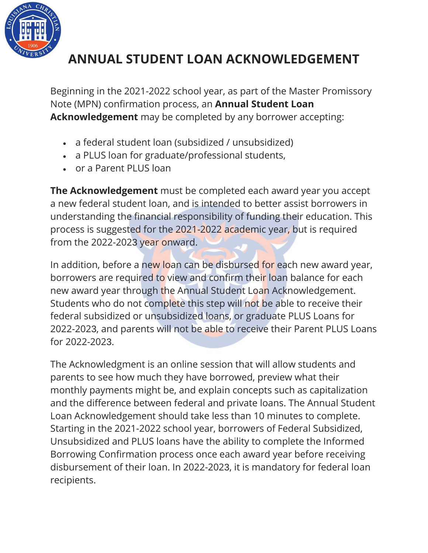

# **ANNUAL STUDENT LOAN ACKNOWLEDGEMENT**

Beginning in the 2021-2022 school year, as part of the Master Promissory Note (MPN) confirmation process, an **Annual Student Loan Acknowledgement** may be completed by any borrower accepting:

- a federal student loan (subsidized / unsubsidized)
- a PLUS loan for graduate/professional students,
- or a Parent PLUS loan

**The Acknowledgement** must be completed each award year you accept a new federal student loan, and is intended to better assist borrowers in understanding the financial responsibility of funding their education. This process is suggested for the 2021-2022 academic year, but is required from the 2022-2023 year onward.

In addition, before a new loan can be disbursed for each new award year, borrowers are required to view and confirm their loan balance for each new award year through the Annual Student Loan Acknowledgement. Students who do not complete this step will not be able to receive their federal subsidized or unsubsidized loans, or graduate PLUS Loans for 2022-2023, and parents will not be able to receive their Parent PLUS Loans for 2022-2023.

The Acknowledgment is an online session that will allow students and parents to see how much they have borrowed, preview what their monthly payments might be, and explain concepts such as capitalization and the difference between federal and private loans. The Annual Student Loan Acknowledgement should take less than 10 minutes to complete. Starting in the 2021-2022 school year, borrowers of Federal Subsidized, Unsubsidized and PLUS loans have the ability to complete the Informed Borrowing Confirmation process once each award year before receiving disbursement of their loan. In 2022-2023, it is mandatory for federal loan recipients.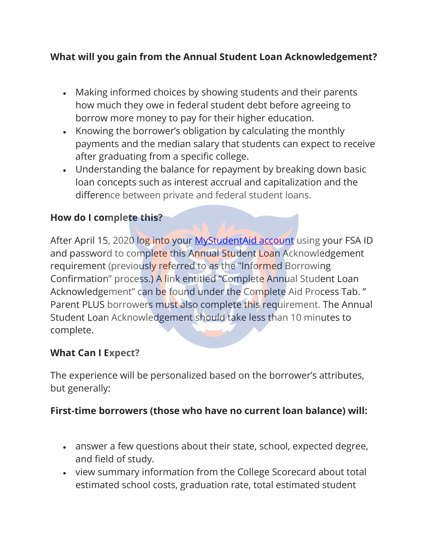## **What will you gain from the Annual Student Loan Acknowledgement?**

- Making informed choices by showing students and their parents how much they owe in federal student debt before agreeing to borrow more money to pay for their higher education.
- Knowing the borrower's obligation by calculating the monthly payments and the median salary that students can expect to receive after graduating from a specific college.
- Understanding the balance for repayment by breaking down basic loan concepts such as interest accrual and capitalization and the difference between private and federal student loans.

### **How do I complete this?**

After April 15, 2020 log into your [MyStudentAid account](https://studentaid.gov/asla/) using your FSA ID and password to complete this Annual Student Loan Acknowledgement requirement (previously referred to as the "Informed Borrowing Confirmation" process.) A link entitled "Complete Annual Student Loan Acknowledgement" can be found under the Complete Aid Process Tab. " Parent PLUS borrowers must also complete this requirement. The Annual Student Loan Acknowledgement should take less than 10 minutes to complete.

#### **What Can I Expect?**

The experience will be personalized based on the borrower's attributes, but generally:

#### **First-time borrowers (those who have no current loan balance) will:**

- answer a few questions about their state, school, expected degree, and field of study.
- view summary information from the College Scorecard about total estimated school costs, graduation rate, total estimated student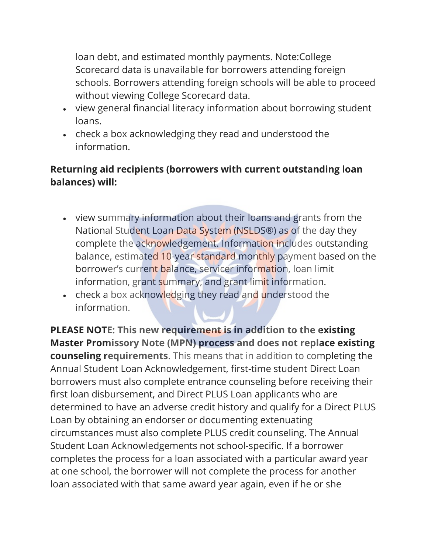loan debt, and estimated monthly payments. Note:College Scorecard data is unavailable for borrowers attending foreign schools. Borrowers attending foreign schools will be able to proceed without viewing College Scorecard data.

- view general financial literacy information about borrowing student loans.
- check a box acknowledging they read and understood the information.

## **Returning aid recipients (borrowers with current outstanding loan balances) will:**

- view summary information about their loans and grants from the National Student Loan Data System (NSLDS®) as of the day they complete the acknowledgement. Information includes outstanding balance, estimated 10-year standard monthly payment based on the borrower's current balance, servicer information, loan limit information, grant summary, and grant limit information.
- check a box acknowledging they read and understood the information.

**PLEASE NOTE: This new requirement is in addition to the existing Master Promissory Note (MPN) process and does not replace existing counseling requirements**. This means that in addition to completing the Annual Student Loan Acknowledgement, first-time student Direct Loan borrowers must also complete entrance counseling before receiving their first loan disbursement, and Direct PLUS Loan applicants who are determined to have an adverse credit history and qualify for a Direct PLUS Loan by obtaining an endorser or documenting extenuating circumstances must also complete PLUS credit counseling. The Annual Student Loan Acknowledgements not school-specific. If a borrower completes the process for a loan associated with a particular award year at one school, the borrower will not complete the process for another loan associated with that same award year again, even if he or she